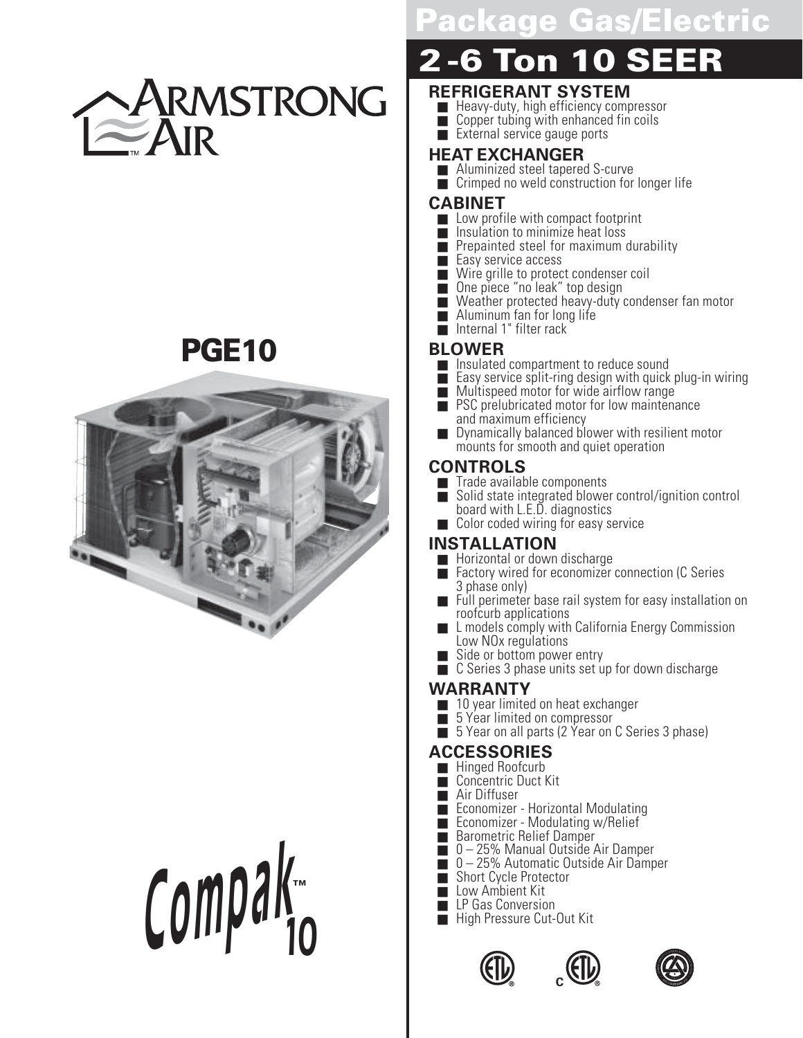

### **PGE10**



# ■ High Pressure Cut-Out Kit **Compa<sup>k</sup> 10 ™**

### **Package Gas/Electric**

## **2-6 Ton 10 SEER**

#### **REFRIGERANT SYSTEM**

- Heavy-duty, high efficiency compressor
- Copper tubing with enhanced fin coils
- External service gauge ports

#### **HEAT EXCHANGER**

- Aluminized steel tapered S-curve
- Crimped no weld construction for longer life

#### **CABINET**

- Low profile with compact footprint<br>■ Insulation to minimize heat loss
- Insulation to minimize heat loss
- Prepainted steel for maximum durability
- Easy service access<br>■ Wire grille to protec
- Wire grille to protect condenser coil
- One piece "no leak" top design
- Weather protected heavy-duty condenser fan motor
- Aluminum fan for long life
- Internal 1" filter rack

#### **BLOWER**

- Insulated compartment to reduce sound
- Easy service split-ring design with quick plug-in wiring
- Multispeed motor for wide airflow range
- PSC prelubricated motor for low maintenance and maximum efficiency
- Dynamically balanced blower with resilient motor mounts for smooth and quiet operation

#### **CONTROLS**

- Trade available components<br>■ Solid state integrated blowe
- Solid state integrated blower control/ignition control board with L.E.D. diagnostics
- Color coded wiring for easy service

#### **INSTALLATION**

- Horizontal or down discharge
- Factory wired for economizer connection (C Series 3 phase only)
- $\blacksquare$  Full perimeter base rail system for easy installation on roofcurb applications
- L models comply with California Energy Commission Low NO<sub>x</sub> regulations
- Side or bottom power entry
- C Series 3 phase units set up for down discharge

### **WARRANTY**<br>10 year limiter

- 10 year limited on heat exchanger
- 5 Year limited on compressor
- 5 Year on all parts (2 Year on C Series 3 phase)

#### **ACCESSORIES**

- Hinged Roofcurb
- Concentric Duct Kit
- Air Diffuser
- Economizer Horizontal Modulating
- Economizer Modulating w/Relief
- Barometric Relief Damper
- 0-25% Manual Outside Air Damper
- 0-25% Automatic Outside Air Damper<br>■ Short Cycle Protector
- Short Cycle Protector
- Low Ambient Kit
- LP Gas Conversion<br>■ High Pressure Cut-Out Kit
- 





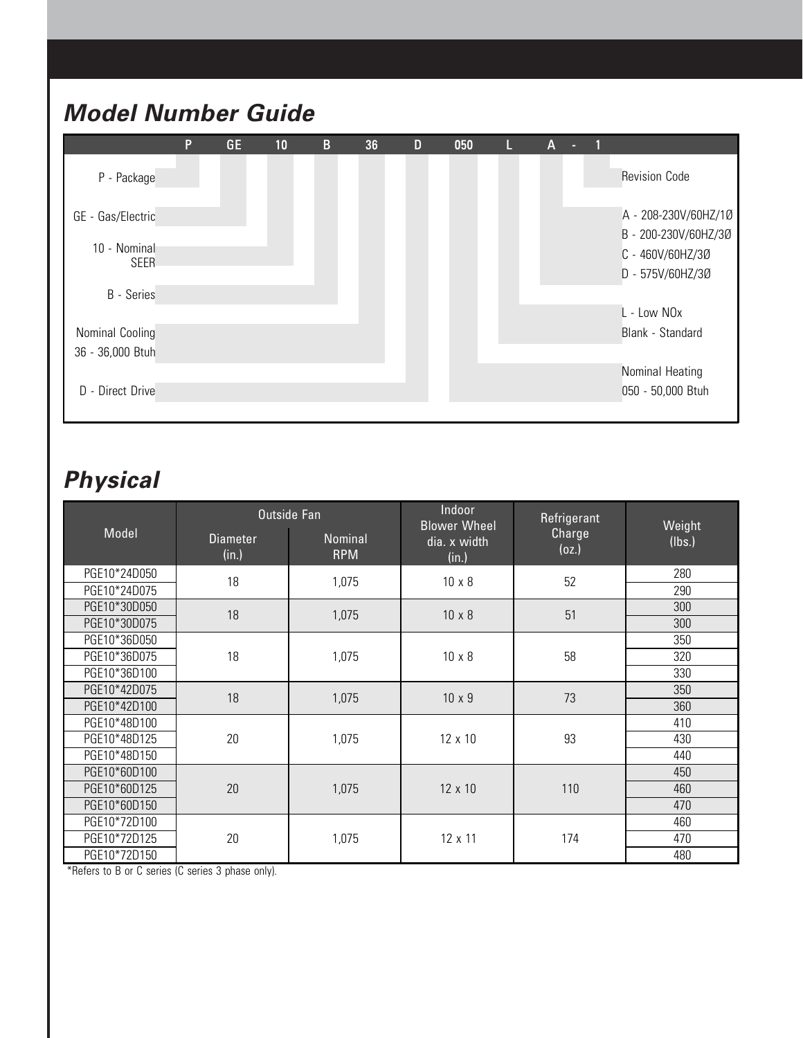### **Model Number Guide**

|                             | P | <b>GE</b> | 10 | $\mathbf{B}$ | 36 | D | 050 | Ш | A |                                              |
|-----------------------------|---|-----------|----|--------------|----|---|-----|---|---|----------------------------------------------|
| P - Package                 |   |           |    |              |    |   |     |   |   | <b>Revision Code</b>                         |
| GE - Gas/Electric           |   |           |    |              |    |   |     |   |   | A - 208-230V/60HZ/1Ø<br>B - 200-230V/60HZ/3Ø |
| 10 - Nominal<br><b>SEER</b> |   |           |    |              |    |   |     |   |   | C - 460V/60HZ/30<br>D - 575V/60HZ/30         |
| <b>B</b> - Series           |   |           |    |              |    |   |     |   |   |                                              |
|                             |   |           |    |              |    |   |     |   |   | L - Low NOx                                  |
| Nominal Cooling             |   |           |    |              |    |   |     |   |   | Blank - Standard                             |
| 36 - 36,000 Btuh            |   |           |    |              |    |   |     |   |   |                                              |
|                             |   |           |    |              |    |   |     |   |   | Nominal Heating                              |
| D - Direct Drive            |   |           |    |              |    |   |     |   |   | 050 - 50,000 Btuh                            |
|                             |   |           |    |              |    |   |     |   |   |                                              |

### **Physical**

|              |                          | Outside Fan           | Indoor<br><b>Blower Wheel</b> | Refrigerant     | Weight |
|--------------|--------------------------|-----------------------|-------------------------------|-----------------|--------|
| Model        | <b>Diameter</b><br>(in.) | Nominal<br><b>RPM</b> | dia. x width<br>(in.)         | Charge<br>(oz.) | (lbs.) |
| PGE10*24D050 | 18                       | 1,075                 | $10 \times 8$                 | 52              | 280    |
| PGE10*24D075 |                          |                       |                               |                 | 290    |
| PGE10*30D050 | 18                       | 1,075                 | $10 \times 8$                 | 51              | 300    |
| PGE10*30D075 |                          |                       |                               |                 | 300    |
| PGE10*36D050 |                          |                       |                               |                 | 350    |
| PGE10*36D075 | 18                       | 1,075                 | $10 \times 8$                 | 58              | 320    |
| PGE10*36D100 |                          |                       |                               |                 | 330    |
| PGE10*42D075 | 18                       | 1,075                 | $10 \times 9$                 | 73              | 350    |
| PGE10*42D100 |                          |                       |                               |                 | 360    |
| PGE10*48D100 |                          |                       |                               |                 | 410    |
| PGE10*48D125 | 20                       | 1,075                 | 12 x 10                       | 93              | 430    |
| PGE10*48D150 |                          |                       |                               |                 | 440    |
| PGE10*60D100 |                          |                       |                               |                 | 450    |
| PGE10*60D125 | 20                       | 1,075                 | 12 x 10                       | 110             | 460    |
| PGE10*60D150 |                          |                       |                               |                 | 470    |
| PGE10*72D100 |                          |                       |                               |                 | 460    |
| PGE10*72D125 | 20                       | 1,075                 | 12 x 11                       | 174             | 470    |
| PGE10*72D150 |                          |                       |                               |                 | 480    |

\*Refers to B or C series (C series 3 phase only).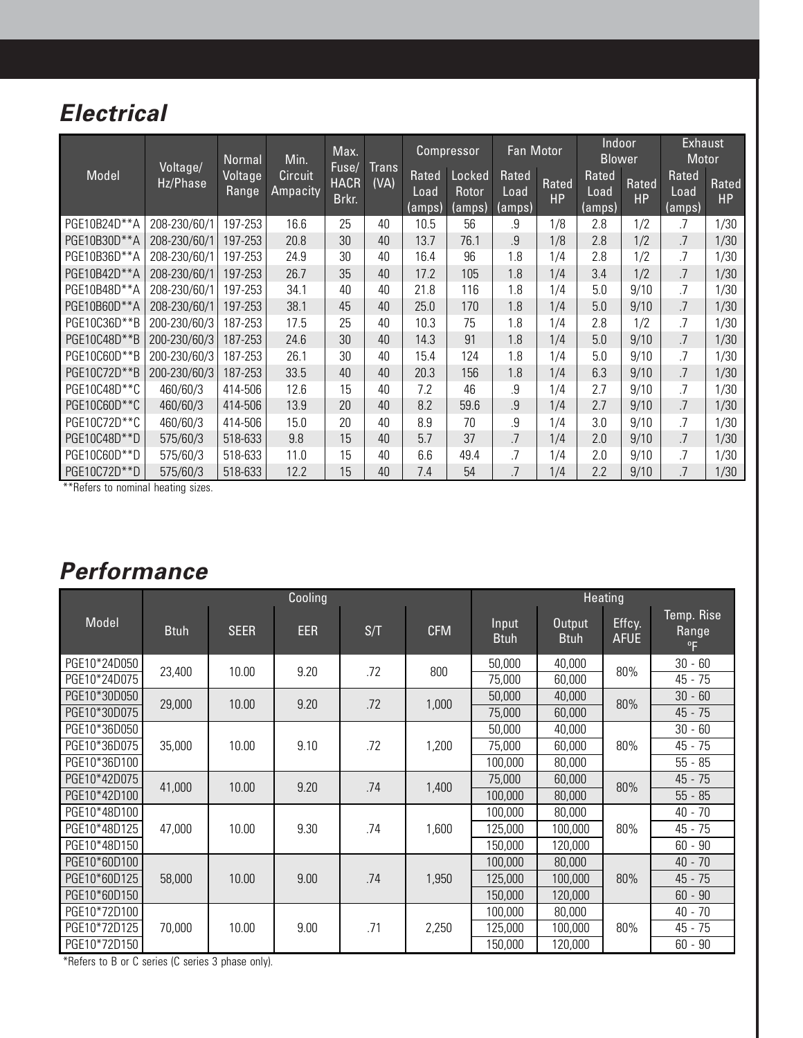### **Electrical**

|              |                      | Normal           | Min.                       | Max.                          |               |                                | Compressor                | Fan Motor               |                    | Indoor<br><b>Blower</b> |             | <b>Exhaust</b><br>Motor |                    |
|--------------|----------------------|------------------|----------------------------|-------------------------------|---------------|--------------------------------|---------------------------|-------------------------|--------------------|-------------------------|-------------|-------------------------|--------------------|
| Model        | Voltage/<br>Hz/Phase | Voltage<br>Range | <b>Circuit</b><br>Ampacity | Fuse/<br><b>HACR</b><br>Brkr. | Trans<br>(VA) | <b>Rated</b><br>Load<br>(amps) | Locked<br>Rotor<br>(amps) | Rated<br>Load<br>(amps) | Rated<br><b>HP</b> | Rated<br>Load<br>(amps) | Rated<br>HP | Rated<br>Load<br>(amps) | Rated<br><b>HP</b> |
| PGE10B24D**A | 208-230/60/1         | 197-253          | 16.6                       | 25                            | 40            | 10.5                           | 56                        | .9                      | 1/8                | 2.8                     | 1/2         | .7                      | 1/30               |
| PGE10B30D**A | 208-230/60/1         | 197-253          | 20.8                       | 30                            | 40            | 13.7                           | 76.1                      | 9                       | 1/8                | 2.8                     | 1/2         | .7                      | 1/30               |
| PGE10B36D**A | 208-230/60/1         | 197-253          | 24.9                       | 30                            | 40            | 16.4                           | 96                        | 1.8                     | 1/4                | 2.8                     | 1/2         | .7                      | 1/30               |
| PGE10B42D**A | 208-230/60/1         | 197-253          | 26.7                       | 35                            | 40            | 17.2                           | 105                       | 1.8                     | 1/4                | 3.4                     | 1/2         | .7                      | 1/30               |
| PGE10B48D**A | 208-230/60/1         | 197-253          | 34.1                       | 40                            | 40            | 21.8                           | 116                       | 1.8                     | 1/4                | 5.0                     | 9/10        | .7                      | 1/30               |
| PGE10B60D**A | 208-230/60/1         | 197-253          | 38.1                       | 45                            | 40            | 25.0                           | 170                       | 1.8                     | 1/4                | 5.0                     | 9/10        | $.7\,$                  | 1/30               |
| PGE10C36D**B | 200-230/60/3         | 187-253          | 17.5                       | 25                            | 40            | 10.3                           | 75                        | 1.8                     | 1/4                | 2.8                     | 1/2         | .7                      | 1/30               |
| PGE10C48D**B | 200-230/60/3         | 187-253          | 24.6                       | 30                            | 40            | 14.3                           | 91                        | 1.8                     | 1/4                | 5.0                     | 9/10        | $.7\,$                  | 1/30               |
| PGE10C60D**B | 200-230/60/3         | 187-253          | 26.1                       | 30                            | 40            | 15.4                           | 124                       | 1.8                     | 1/4                | 5.0                     | 9/10        | .7                      | 1/30               |
| PGE10C72D**B | 200-230/60/3         | 187-253          | 33.5                       | 40                            | 40            | 20.3                           | 156                       | 1.8                     | 1/4                | 6.3                     | 9/10        | .7                      | 1/30               |
| PGE10C48D**C | 460/60/3             | 414-506          | 12.6                       | 15                            | 40            | 7.2                            | 46                        | .9                      | 1/4                | 2.7                     | 9/10        | $.7\,$                  | 1/30               |
| PGE10C60D**C | 460/60/3             | 414-506          | 13.9                       | 20                            | 40            | 8.2                            | 59.6                      | .9                      | 1/4                | 2.7                     | 9/10        | .7                      | 1/30               |
| PGE10C72D**C | 460/60/3             | 414-506          | 15.0                       | 20                            | 40            | 8.9                            | 70                        | .9                      | 1/4                | 3.0                     | 9/10        | .7                      | 1/30               |
| PGE10C48D**D | 575/60/3             | 518-633          | 9.8                        | 15                            | 40            | 5.7                            | 37                        | .7                      | 1/4                | 2.0                     | 9/10        | .7                      | 1/30               |
| PGE10C60D**D | 575/60/3             | 518-633          | 11.0                       | 15                            | 40            | 6.6                            | 49.4                      | .7                      | 1/4                | 2.0                     | 9/10        | .7                      | 1/30               |
| PGE10C72D**D | 575/60/3             | 518-633          | 12.2                       | 15                            | 40            | 7.4                            | 54                        | 7                       | 1/4                | 2.2                     | 9/10        | .7                      | 1/30               |

\*\*Refers to nominal heating sizes.

### **Performance**

|              | Cooling     |             |            |     |            |                      |                       | Heating               |                                     |
|--------------|-------------|-------------|------------|-----|------------|----------------------|-----------------------|-----------------------|-------------------------------------|
| Model        | <b>Btuh</b> | <b>SEER</b> | <b>EER</b> | S/T | <b>CFM</b> | Input<br><b>Btuh</b> | Output<br><b>Btuh</b> | Effcy.<br><b>AFUE</b> | Temp. Rise<br>Range<br>$^{\circ}$ F |
| PGE10*24D050 | 23,400      | 10.00       | 9.20       | .72 | 800        | 50,000               | 40,000                | 80%                   | $30 - 60$                           |
| PGE10*24D075 |             |             |            |     |            | 75,000               | 60,000                |                       | 45 - 75                             |
| PGE10*30D050 | 29,000      | 10.00       | 9.20       | .72 | 1,000      | 50,000               | 40,000                | 80%                   | $30 - 60$                           |
| PGE10*30D075 |             |             |            |     |            | 75,000               | 60,000                |                       | $45 - 75$                           |
| PGE10*36D050 |             |             |            |     |            | 50,000               | 40,000                |                       | $30 - 60$                           |
| PGE10*36D075 | 35,000      | 10.00       | 9.10       | .72 | 1,200      | 75,000               | 60,000                | 80%                   | 45 - 75                             |
| PGE10*36D100 |             |             |            |     |            | 100,000              | 80,000                |                       | $55 - 85$                           |
| PGE10*42D075 | 41,000      | 10.00       | 9.20       | .74 | 1,400      | 75,000               | 60,000                | 80%                   | $45 - 75$                           |
| PGE10*42D100 |             |             |            |     |            | 100,000              | 80,000                |                       | $55 - 85$                           |
| PGE10*48D100 |             |             |            |     |            | 100,000              | 80,000                |                       | $40 - 70$                           |
| PGE10*48D125 | 47,000      | 10.00       | 9.30       | .74 | 1,600      | 125,000              | 100,000               | 80%                   | 45 - 75                             |
| PGE10*48D150 |             |             |            |     |            | 150,000              | 120,000               |                       | $60 - 90$                           |
| PGE10*60D100 |             |             |            |     |            | 100,000              | 80,000                |                       | $40 - 70$                           |
| PGE10*60D125 | 58,000      | 10.00       | 9.00       | .74 | 1,950      | 125,000              | 100,000               | 80%                   | $45 - 75$                           |
| PGE10*60D150 |             |             |            |     |            | 150,000              | 120,000               |                       | $60 - 90$                           |
| PGE10*72D100 |             |             |            |     |            | 100,000              | 80,000                |                       | $40 - 70$                           |
| PGE10*72D125 | 70,000      | 10.00       | 9.00       | .71 | 2,250      | 125,000              | 100,000               | 80%                   | 45 - 75                             |
| PGE10*72D150 |             |             |            |     |            | 150,000              | 120,000               |                       | $60 - 90$                           |

\*Refers to B or C series (C series 3 phase only).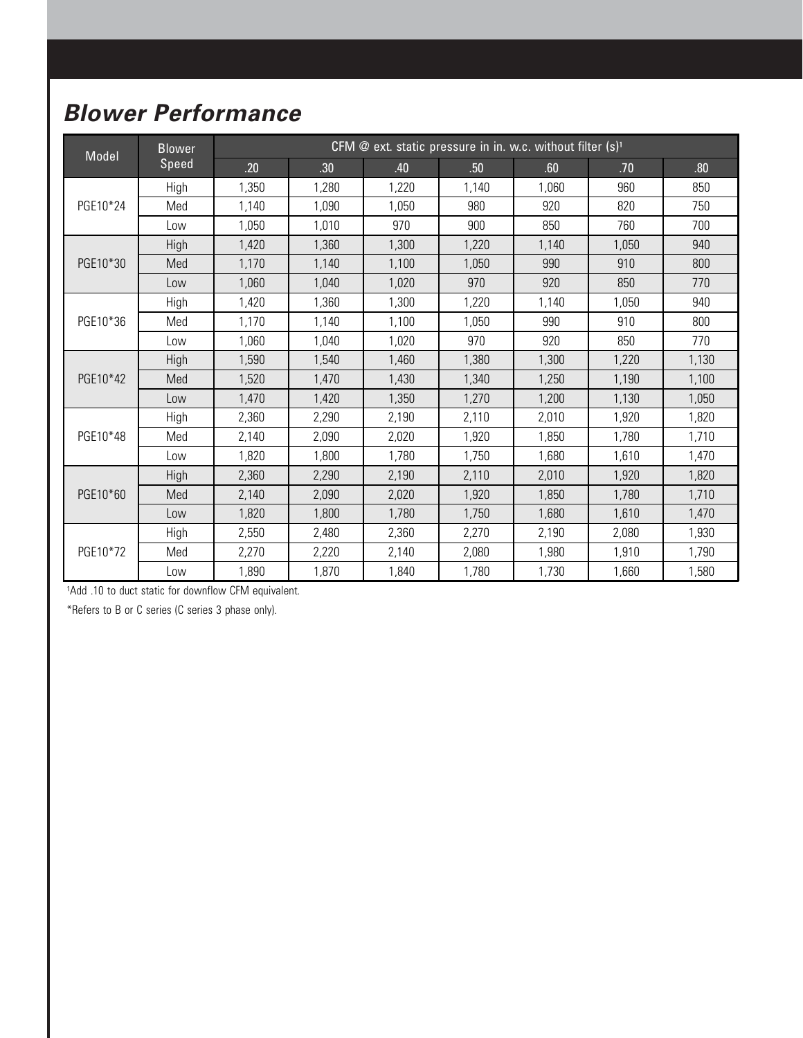### **Blower Performance**

| Model    | <b>Blower</b> |       |                  | CFM @ ext. static pressure in in. w.c. without filter (s) <sup>1</sup> |       |       |       |       |
|----------|---------------|-------|------------------|------------------------------------------------------------------------|-------|-------|-------|-------|
|          | Speed         | .20   | .30 <sub>0</sub> | .40                                                                    | .50   | .60   | .70   | .80   |
|          | High          | 1,350 | 1,280            | 1,220                                                                  | 1.140 | 1,060 | 960   | 850   |
| PGE10*24 | Med           | 1,140 | 1,090            | 1,050                                                                  | 980   | 920   | 820   | 750   |
|          | Low           | 1,050 | 1,010            | 970                                                                    | 900   | 850   | 760   | 700   |
|          | High          | 1,420 | 1,360            | 1,300                                                                  | 1,220 | 1,140 | 1,050 | 940   |
| PGE10*30 | Med           | 1,170 | 1,140            | 1,100                                                                  | 1,050 | 990   | 910   | 800   |
|          | Low           | 1,060 | 1,040            | 1,020                                                                  | 970   | 920   | 850   | 770   |
|          | High          | 1,420 | 1,360            | 1,300                                                                  | 1,220 | 1,140 | 1,050 | 940   |
| PGE10*36 | Med           | 1,170 | 1,140            | 1,100                                                                  | 1,050 | 990   | 910   | 800   |
|          | Low           | 1,060 | 1,040            | 1,020                                                                  | 970   | 920   | 850   | 770   |
|          | High          | 1,590 | 1,540            | 1,460                                                                  | 1,380 | 1,300 | 1,220 | 1,130 |
| PGE10*42 | Med           | 1,520 | 1,470            | 1,430                                                                  | 1,340 | 1,250 | 1,190 | 1,100 |
|          | Low           | 1,470 | 1,420            | 1,350                                                                  | 1,270 | 1,200 | 1,130 | 1,050 |
|          | High          | 2,360 | 2,290            | 2,190                                                                  | 2,110 | 2,010 | 1,920 | 1,820 |
| PGE10*48 | Med           | 2,140 | 2,090            | 2,020                                                                  | 1,920 | 1,850 | 1,780 | 1,710 |
|          | Low           | 1,820 | 1,800            | 1,780                                                                  | 1,750 | 1,680 | 1,610 | 1,470 |
|          | High          | 2,360 | 2,290            | 2,190                                                                  | 2,110 | 2.010 | 1,920 | 1,820 |
| PGE10*60 | Med           | 2,140 | 2,090            | 2,020                                                                  | 1,920 | 1,850 | 1,780 | 1,710 |
|          | Low           | 1,820 | 1,800            | 1,780                                                                  | 1,750 | 1,680 | 1,610 | 1,470 |
|          | High          | 2,550 | 2,480            | 2,360                                                                  | 2,270 | 2,190 | 2,080 | 1,930 |
| PGE10*72 | Med           | 2,270 | 2,220            | 2,140                                                                  | 2,080 | 1,980 | 1,910 | 1,790 |
|          | Low           | 1,890 | 1,870            | 1,840                                                                  | 1,780 | 1,730 | 1,660 | 1,580 |

1Add .10 to duct static for downflow CFM equivalent.

\*Refers to B or C series (C series 3 phase only).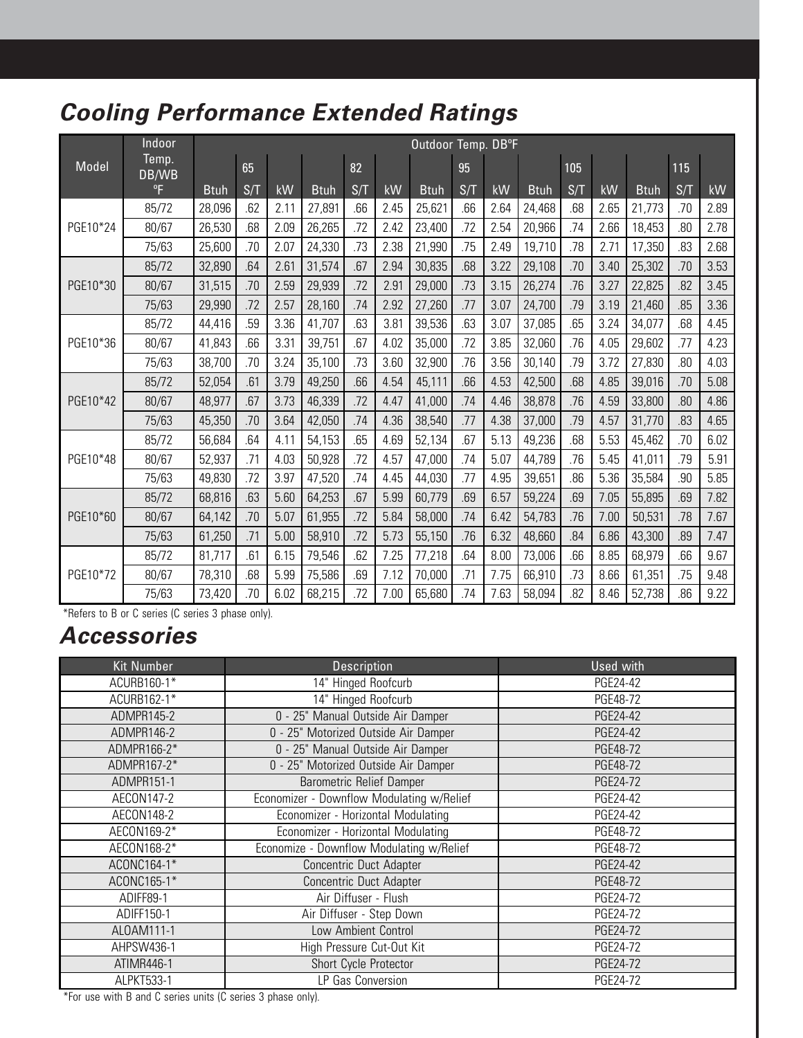### **Cooling Performance Extended Ratings**

|          | Indoor         |             |     |      |             |     |      | Outdoor Temp. DB°F |     |      |             |     |      |             |     |      |
|----------|----------------|-------------|-----|------|-------------|-----|------|--------------------|-----|------|-------------|-----|------|-------------|-----|------|
| Model    | Temp.<br>DB/WB |             | 65  |      |             | 82  |      |                    | 95  |      |             | 105 |      |             | 115 |      |
|          | $^{\circ}$ F   | <b>Btuh</b> | S/T | kW   | <b>Btuh</b> | S/T | kW   | <b>Btuh</b>        | S/T | kW   | <b>Btuh</b> | S/T | kW   | <b>Btuh</b> | S/T | kW   |
|          | 85/72          | 28,096      | .62 | 2.11 | 27,891      | .66 | 2.45 | 25,621             | .66 | 2.64 | 24,468      | .68 | 2.65 | 21,773      | .70 | 2.89 |
| PGE10*24 | 80/67          | 26,530      | .68 | 2.09 | 26,265      | .72 | 2.42 | 23,400             | .72 | 2.54 | 20,966      | .74 | 2.66 | 18,453      | .80 | 2.78 |
|          | 75/63          | 25,600      | .70 | 2.07 | 24,330      | .73 | 2.38 | 21,990             | .75 | 2.49 | 19,710      | .78 | 2.71 | 17,350      | .83 | 2.68 |
|          | 85/72          | 32,890      | .64 | 2.61 | 31,574      | .67 | 2.94 | 30,835             | .68 | 3.22 | 29,108      | .70 | 3.40 | 25,302      | .70 | 3.53 |
| PGE10*30 | 80/67          | 31,515      | .70 | 2.59 | 29,939      | .72 | 2.91 | 29,000             | .73 | 3.15 | 26,274      | .76 | 3.27 | 22,825      | .82 | 3.45 |
|          | 75/63          | 29,990      | .72 | 2.57 | 28,160      | .74 | 2.92 | 27,260             | .77 | 3.07 | 24,700      | .79 | 3.19 | 21,460      | .85 | 3.36 |
|          | 85/72          | 44,416      | .59 | 3.36 | 41,707      | .63 | 3.81 | 39,536             | .63 | 3.07 | 37,085      | .65 | 3.24 | 34,077      | .68 | 4.45 |
| PGE10*36 | 80/67          | 41,843      | .66 | 3.31 | 39,751      | .67 | 4.02 | 35,000             | .72 | 3.85 | 32,060      | .76 | 4.05 | 29,602      | .77 | 4.23 |
|          | 75/63          | 38,700      | .70 | 3.24 | 35,100      | .73 | 3.60 | 32,900             | .76 | 3.56 | 30,140      | .79 | 3.72 | 27,830      | .80 | 4.03 |
|          | 85/72          | 52,054      | .61 | 3.79 | 49,250      | .66 | 4.54 | 45,111             | .66 | 4.53 | 42,500      | .68 | 4.85 | 39,016      | .70 | 5.08 |
| PGE10*42 | 80/67          | 48,977      | .67 | 3.73 | 46,339      | .72 | 4.47 | 41,000             | .74 | 4.46 | 38,878      | .76 | 4.59 | 33,800      | .80 | 4.86 |
|          | 75/63          | 45,350      | .70 | 3.64 | 42,050      | .74 | 4.36 | 38,540             | .77 | 4.38 | 37,000      | .79 | 4.57 | 31,770      | .83 | 4.65 |
|          | 85/72          | 56,684      | .64 | 4.11 | 54,153      | .65 | 4.69 | 52,134             | .67 | 5.13 | 49,236      | .68 | 5.53 | 45,462      | .70 | 6.02 |
| PGE10*48 | 80/67          | 52,937      | .71 | 4.03 | 50,928      | .72 | 4.57 | 47,000             | .74 | 5.07 | 44,789      | .76 | 5.45 | 41,011      | .79 | 5.91 |
|          | 75/63          | 49,830      | .72 | 3.97 | 47,520      | .74 | 4.45 | 44,030             | .77 | 4.95 | 39,651      | .86 | 5.36 | 35,584      | .90 | 5.85 |
|          | 85/72          | 68,816      | .63 | 5.60 | 64,253      | .67 | 5.99 | 60,779             | .69 | 6.57 | 59,224      | .69 | 7.05 | 55,895      | .69 | 7.82 |
| PGE10*60 | 80/67          | 64,142      | .70 | 5.07 | 61,955      | .72 | 5.84 | 58,000             | .74 | 6.42 | 54,783      | .76 | 7.00 | 50,531      | .78 | 7.67 |
|          | 75/63          | 61,250      | .71 | 5.00 | 58,910      | .72 | 5.73 | 55,150             | .76 | 6.32 | 48,660      | .84 | 6.86 | 43,300      | .89 | 7.47 |
|          | 85/72          | 81,717      | .61 | 6.15 | 79,546      | .62 | 7.25 | 77,218             | .64 | 8.00 | 73,006      | .66 | 8.85 | 68,979      | .66 | 9.67 |
| PGE10*72 | 80/67          | 78,310      | .68 | 5.99 | 75,586      | .69 | 7.12 | 70,000             | .71 | 7.75 | 66,910      | .73 | 8.66 | 61,351      | .75 | 9.48 |
|          | 75/63          | 73,420      | .70 | 6.02 | 68,215      | .72 | 7.00 | 65,680             | .74 | 7.63 | 58,094      | .82 | 8.46 | 52,738      | .86 | 9.22 |

\*Refers to B or C series (C series 3 phase only).

### **Accessories**

| <b>Kit Number</b> | Description                               | <b>Used with</b> |
|-------------------|-------------------------------------------|------------------|
| ACURB160-1*       | 14" Hinged Roofcurb                       | PGE24-42         |
| ACURB162-1*       | 14" Hinged Roofcurb                       | PGE48-72         |
| ADMPR145-2        | 0 - 25" Manual Outside Air Damper         | PGE24-42         |
| ADMPR146-2        | 0 - 25" Motorized Outside Air Damper      | PGE24-42         |
| ADMPR166-2*       | 0 - 25" Manual Outside Air Damper         | PGE48-72         |
| ADMPR167-2*       | 0 - 25" Motorized Outside Air Damper      | PGE48-72         |
| ADMPR151-1        | <b>Barometric Relief Damper</b>           | PGE24-72         |
| AECON147-2        | Economizer - Downflow Modulating w/Relief | PGE24-42         |
| AECON148-2        | Economizer - Horizontal Modulating        | PGE24-42         |
| AECON169-2*       | Economizer - Horizontal Modulating        | PGE48-72         |
| AECON168-2*       | Economize - Downflow Modulating w/Relief  | PGE48-72         |
| ACONC164-1*       | Concentric Duct Adapter                   | PGE24-42         |
| ACONC165-1*       | Concentric Duct Adapter                   | PGE48-72         |
| ADIFF89-1         | Air Diffuser - Flush                      | PGE24-72         |
| ADIFF150-1        | Air Diffuser - Step Down                  | PGE24-72         |
| ALOAM111-1        | Low Ambient Control                       | PGE24-72         |
| AHPSW436-1        | High Pressure Cut-Out Kit                 | PGE24-72         |
| ATIMR446-1        | Short Cycle Protector                     | PGE24-72         |
| ALPKT533-1        | LP Gas Conversion                         | PGE24-72         |

\*For use with B and C series units (C series 3 phase only).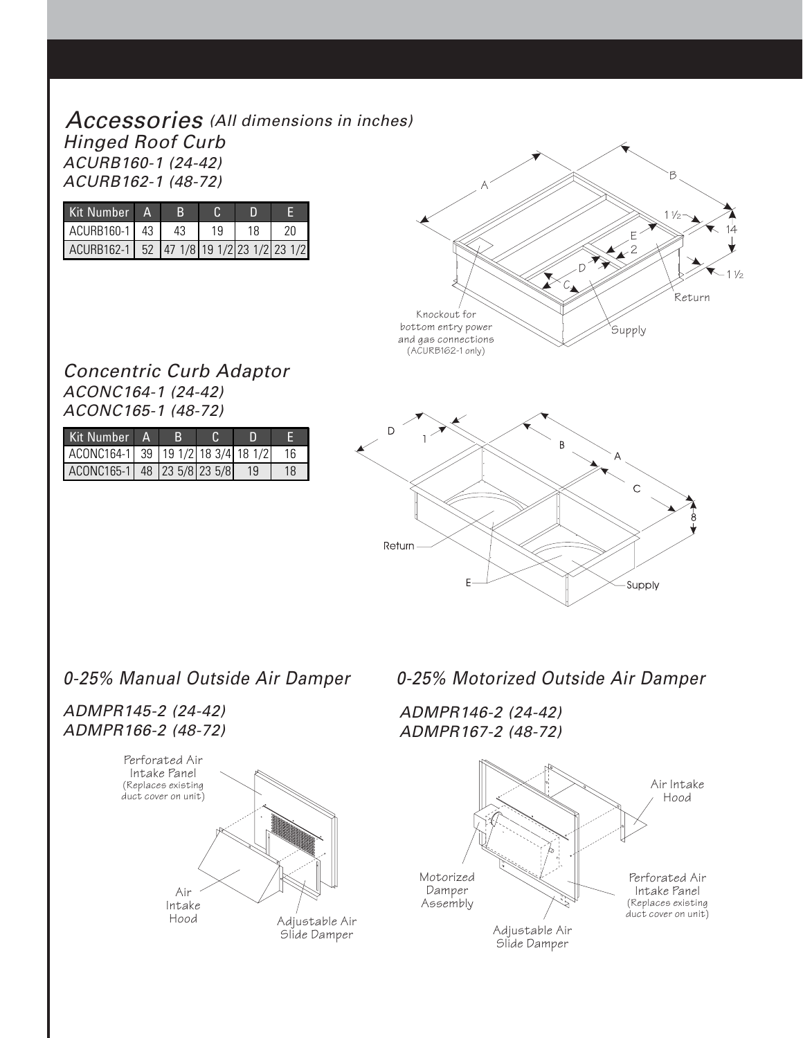#### Accessories (All dimensions in inches) Hinged Roof Curb ACURB160-1 (24-42) ACURB162-1 (48-72)

| Kit Number                                          | $\Delta$ |    |    |    |    |
|-----------------------------------------------------|----------|----|----|----|----|
| ACURB160-1 43                                       |          | 43 | 19 | 18 | 20 |
| ACURB162-1   52   47 1/8   19 1/2   23 1/2   23 1/2 |          |    |    |    |    |



#### Concentric Curb Adaptor ACONC164-1 (24-42) ACONC165-1 (48-72)

| Kit Number                         |  |  |    |
|------------------------------------|--|--|----|
| ACONC164-1 39 19 1/2 18 3/4 18 1/2 |  |  |    |
| ACONC165-1 48 23 5/8 23 5/8        |  |  | 18 |



#### ADMPR145-2 (24-42) ADMPR166-2 (48-72)



0-25% Manual Outside Air Damper 0-25% Motorized Outside Air Damper

ADMPR146-2 (24-42) ADMPR167-2 (48-72)

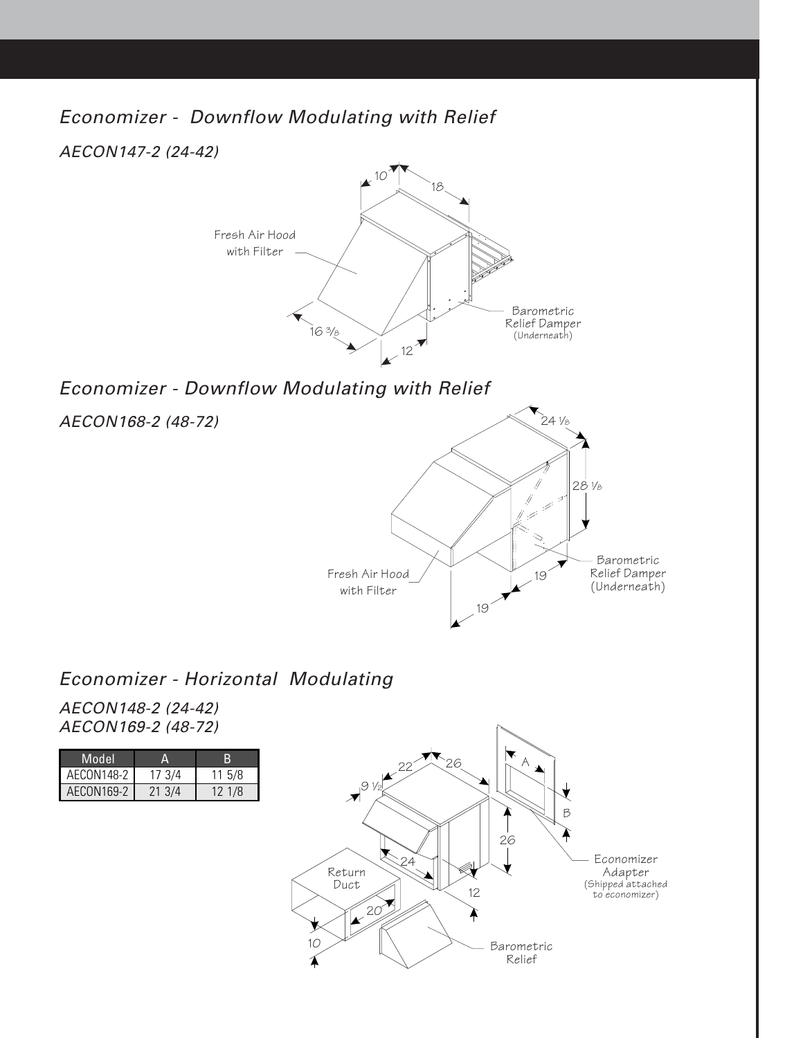Economizer - Downflow Modulating with Relief

AECON147-2 (24-42)



### Economizer - Downflow Modulating with Relief

AECON168-2 (48-72)



#### Economizer - Horizontal Modulating

AECON148-2 (24-42) AECON169-2 (48-72)

| Model             |        |           |
|-------------------|--------|-----------|
| AECON148-2        | 17 3/4 | $11\,5/8$ |
| <b>AECON169-2</b> | 21 3/4 | 12 1/8    |